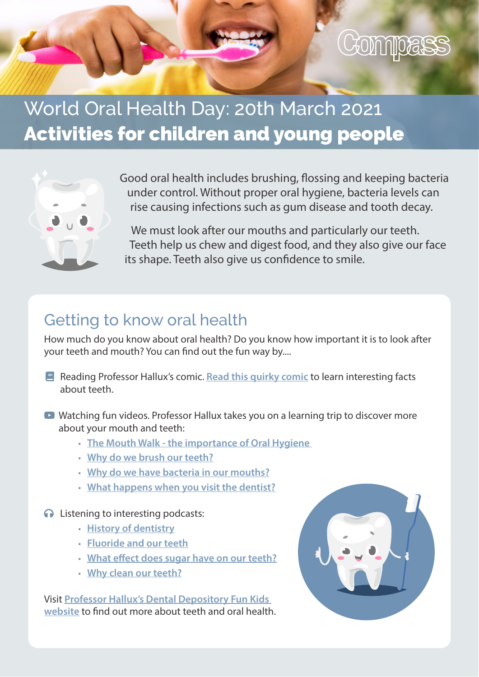

# World Oral Health Day: 20th March 2021 Activities for children and young people



Good oral health includes brushing, flossing and keeping bacteria under control. Without proper oral hygiene, bacteria levels can rise causing infections such as gum disease and tooth decay.

We must look after our mouths and particularly our teeth. Teeth help us chew and digest food, and they also give our face its shape. Teeth also give us confidence to smile.

#### Getting to know oral health

How much do you know about oral health? Do you know how important it is to look after your teeth and mouth? You can find out the fun way by....

- $\blacksquare$  Reading Professor Hallux's comic. [Read this quirky comic](https://www.dropbox.com/s/opv30f1jjvhnscj/Professor%20Hallux%20Dental%20Depositary%20Comic%20Book.pdf?dl=0) to learn interesting facts about teeth.
- **D** Watching fun videos. Professor Hallux takes you on a learning trip to discover more about your mouth and teeth:
	- [The Mouth Walk the importance of Oral Hygiene](https://www.youtube.com/watch?v=Z7g4W9fCv2s)
	- [Why do we brush our teeth?](https://www.funkidslive.com/learn/why-do-we-brush-our-teeth-and-what-happens-if-we-dont-should-we-use-mouthwash-whats-the-best-way-to-floss/)
	- [Why do we have bacteria in our mouths?](https://www.funkidslive.com/learn/hallux/dentist/bacteria-in-our-mouths-why-do-we-have-bacteria-in-our-mouths-and-what-type-of-bacteria-live-there/)
	- [What happens when you visit the dentist?](https://www.funkidslive.com/learn/hallux/dentist/what-happens-when-i-visit-the-dentist-im-nervous-of-the-dentist-is-that-normal/)
- **O** Listening to interesting podcasts:
	- [History of dentistry](https://omny.fm/shows/fun-kids/professor-halluxs-digital-dental-depositary-a-hist)
	- [Fluoride and our teeth](https://omny.fm/shows/fun-kids/professor-halluxs-digital-dental-depositary-fluori)
	- [What effect does sugar have on our teeth?](https://omny.fm/shows/fun-kids/what-effect-does-sugar-have-on-teeth-digital-denta)
	- [Why clean our teeth?](https://omny.fm/shows/fun-kids/why-clean-our-teeth-digital-dental-depositary)

Visit [Professor Hallux's Dental Depository Fun Kids](https://www.funkidslive.com/learn/hallux/dentist/)  [website](https://www.funkidslive.com/learn/hallux/dentist/) to find out more about teeth and oral health.